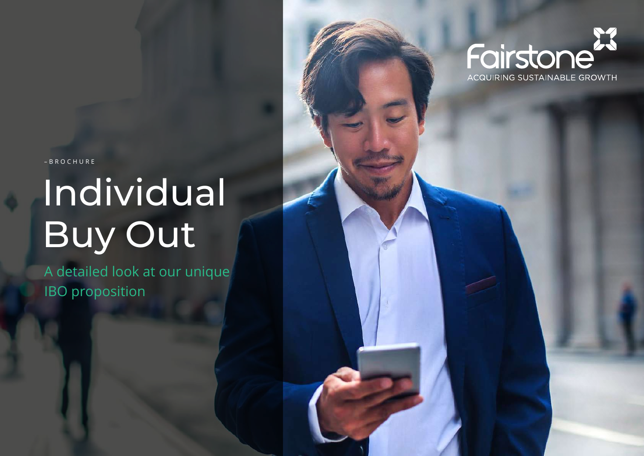

**ACQUIRING SUSTAINABLE GROWTH** 

–BROCHURE

# Individual Buy Out

A detailed look at our unique IBO proposition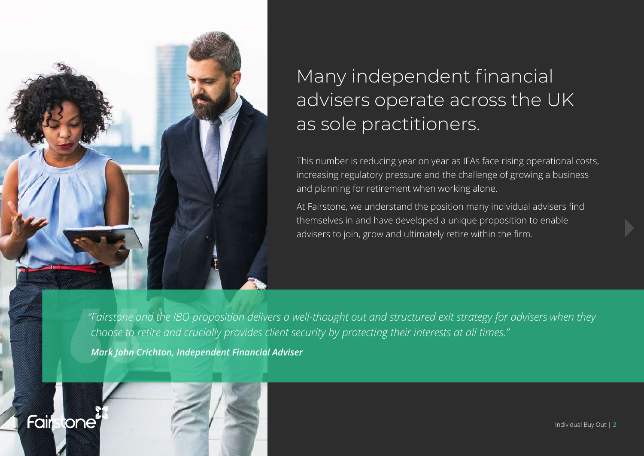

Fair

tone

# Many independent financial advisers operate across the UK as sole practitioners.

This number is reducing year on year as IFAs face rising operational costs, increasing regulatory pressure and the challenge of growing a business and planning for retirement when working alone.

At Fairstone, we understand the position many individual advisers find themselves in and have developed a unique proposition to enable advisers to join, grow and ultimately retire within the firm.

*"Fairstone and the IBO proposition delivers a well-thought out and structured exit strategy for advisers when they choose to retire and crucially provides client security by protecting their interests at all times."*

*Mark John Crichton, Independent Financial Adviser*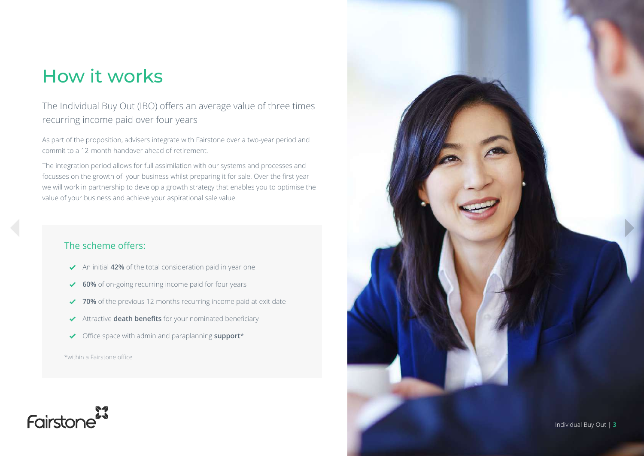## How it works

#### The Individual Buy Out (IBO) offers an average value of three times recurring income paid over four years

As part of the proposition, advisers integrate with Fairstone over a two-year period and commit to a 12-month handover ahead of retirement.

The integration period allows for full assimilation with our systems and processes and focusses on the growth of your business whilst preparing it for sale. Over the first year we will work in partnership to develop a growth strategy that enables you to optimise the value of your business and achieve your aspirational sale value.

#### The scheme offers:

- An initial **42%** of the total consideration paid in year one
- ◆ **60%** of on-going recurring income paid for four years
- **70%** of the previous 12 months recurring income paid at exit date
- Attractive **death benefits** for your nominated beneficiary
- Office space with admin and paraplanning **support**\*

\*within a Fairstone office



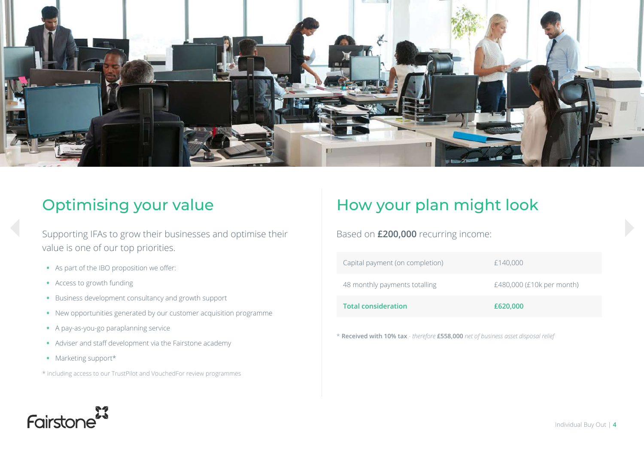

Supporting IFAs to grow their businesses and optimise their value is one of our top priorities.

- **•** As part of the IBO proposition we offer:
- **•** Access to growth funding
- **•** Business development consultancy and growth support
- **•** New opportunities generated by our customer acquisition programme
- **•** A pay-as-you-go paraplanning service
- **•** Adviser and staff development via the Fairstone academy
- **•** Marketing support\*
- \* including access to our TrustPilot and VouchedFor review programmes

### Optimising your value **How your plan might look**

Based on **£200,000** recurring income:

| Capital payment (on completion) | £140,000                  |
|---------------------------------|---------------------------|
| 48 monthly payments totalling   | £480,000 (£10k per month) |
| <b>Total consideration</b>      | £620,000                  |

\* **Received with 10% tax** - *therefore* **£558,000** *net of business asset disposal relief*

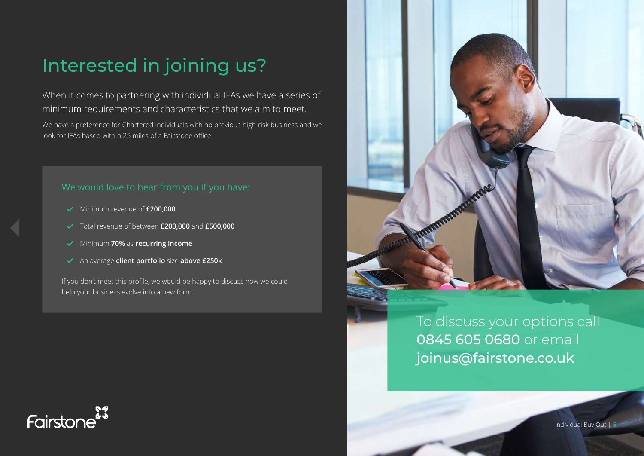# Interested in joining us?

When it comes to partnering with individual IFAs we have a series of minimum requirements and characteristics that we aim to meet.

We have a preference for Chartered individuals with no previous high-risk business and we look for IFAs based within 25 miles of a Fairstone office.

- Minimum revenue of **£200,000**
- Total revenue of between **£200,000** and **£500,000**
- Minimum **70%** as **recurring income**
- An average **client portfolio** size **above £250k**

If you don't meet this profile, we would be happy to discuss how we could help your business evolve into a new form.



To discuss your options call 0845 605 0680 or email joinus@fairstone.co.uk

Fairstone

Individual Buy Out | **5**